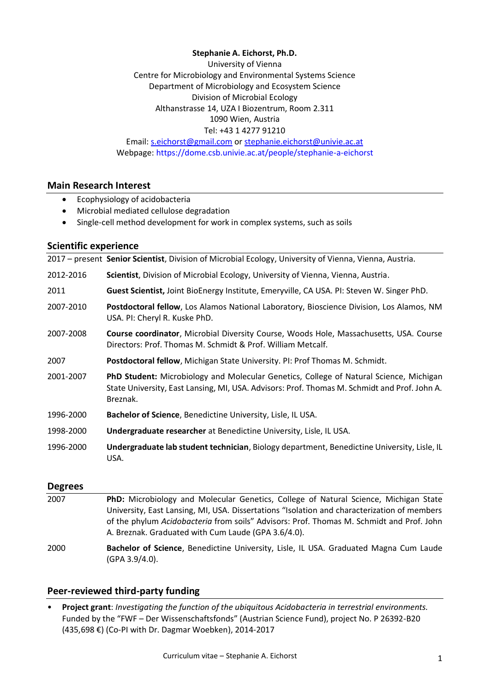## **Stephanie A. Eichorst, Ph.D.**

University of Vienna Centre for Microbiology and Environmental Systems Science Department of Microbiology and Ecosystem Science Division of Microbial Ecology Althanstrasse 14, UZA I Biozentrum, Room 2.311 1090 Wien, Austria Tel: +43 1 4277 91210

Email: [s.eichorst@gmail.com](mailto:s.eichorst@gmail.com) or [stephanie.eichorst@univie.ac.at](mailto:stephanie.eichorst@univie.ac.at) Webpage: https://dome.csb.univie.ac.at/people/stephanie-a-eichorst

## **Main Research Interest**

- Ecophysiology of acidobacteria
- Microbial mediated cellulose degradation
- Single-cell method development for work in complex systems, such as soils

## **Scientific experience**

2017 – present Senior Scientist, Division of Microbial Ecology, University of Vienna, Vienna, Austria.

- 2012-2016 **Scientist**, Division of Microbial Ecology, University of Vienna, Vienna, Austria.
- 2011 **Guest Scientist,** Joint BioEnergy Institute, Emeryville, CA USA. PI: Steven W. Singer PhD.
- 2007-2010 **Postdoctoral fellow**, Los Alamos National Laboratory, Bioscience Division, Los Alamos, NM USA. PI: Cheryl R. Kuske PhD.
- 2007-2008 **Course coordinator**, Microbial Diversity Course, Woods Hole, Massachusetts, USA. Course Directors: Prof. Thomas M. Schmidt & Prof. William Metcalf.
- 2007 **Postdoctoral fellow**, Michigan State University. PI: Prof Thomas M. Schmidt.
- 2001-2007 **PhD Student:** Microbiology and Molecular Genetics, College of Natural Science, Michigan State University, East Lansing, MI, USA. Advisors: Prof. Thomas M. Schmidt and Prof. John A. Breznak.
- 1996-2000 **Bachelor of Science**, Benedictine University, Lisle, IL USA.
- 1998-2000 **Undergraduate researcher** at Benedictine University, Lisle, IL USA.
- 1996-2000 **Undergraduate lab student technician**, Biology department, Benedictine University, Lisle, IL USA.

#### **Degrees**

- 2007 **PhD:** Microbiology and Molecular Genetics, College of Natural Science, Michigan State University, East Lansing, MI, USA. Dissertations "Isolation and characterization of members of the phylum *Acidobacteria* from soils" Advisors: Prof. Thomas M. Schmidt and Prof. John A. Breznak. Graduated with Cum Laude (GPA 3.6/4.0).
- 2000 **Bachelor of Science**, Benedictine University, Lisle, IL USA. Graduated Magna Cum Laude (GPA 3.9/4.0).

# **Peer-reviewed third-party funding**

• **Project grant**: *Investigating the function of the ubiquitous Acidobacteria in terrestrial environments.*  Funded by the "FWF – Der Wissenschaftsfonds" (Austrian Science Fund), project No. P 26392-B20 (435,698 €) (Co-PI with Dr. Dagmar Woebken), 2014-2017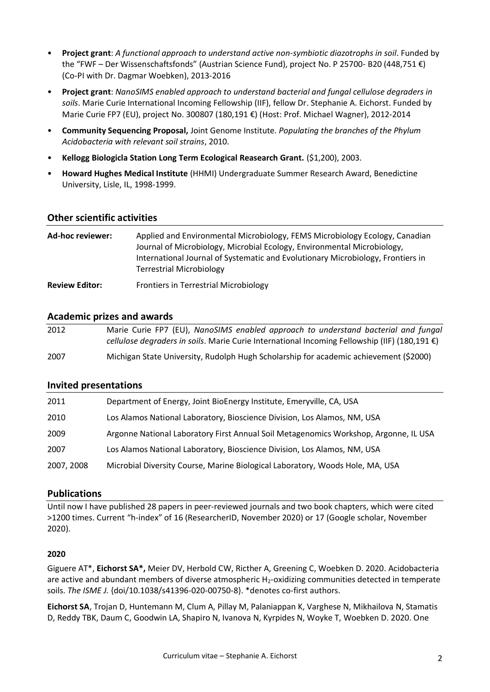- **Project grant**: *A functional approach to understand active non-symbiotic diazotrophs in soil*. Funded by the "FWF – Der Wissenschaftsfonds" (Austrian Science Fund), project No. P 25700- B20 (448,751 €) (Co-PI with Dr. Dagmar Woebken), 2013-2016
- **Project grant**: *NanoSIMS enabled approach to understand bacterial and fungal cellulose degraders in soils*. Marie Curie International Incoming Fellowship (IIF), fellow Dr. Stephanie A. Eichorst. Funded by Marie Curie FP7 (EU), project No. 300807 (180,191 €) (Host: Prof. Michael Wagner), 2012-2014
- **Community Sequencing Proposal,** Joint Genome Institute. *Populating the branches of the Phylum Acidobacteria with relevant soil strains*, 2010.
- **Kellogg Biologicla Station Long Term Ecological Reasearch Grant.** (\$1,200), 2003.
- **Howard Hughes Medical Institute** (HHMI) Undergraduate Summer Research Award, Benedictine University, Lisle, IL, 1998-1999.

# **Other scientific activities**

| Ad-hoc reviewer:      | Applied and Environmental Microbiology, FEMS Microbiology Ecology, Canadian<br>Journal of Microbiology, Microbial Ecology, Environmental Microbiology,<br>International Journal of Systematic and Evolutionary Microbiology, Frontiers in<br><b>Terrestrial Microbiology</b> |
|-----------------------|------------------------------------------------------------------------------------------------------------------------------------------------------------------------------------------------------------------------------------------------------------------------------|
| <b>Review Editor:</b> | <b>Frontiers in Terrestrial Microbiology</b>                                                                                                                                                                                                                                 |

# **Academic prizes and awards**

| 2012 | Marie Curie FP7 (EU), NanoSIMS enabled approach to understand bacterial and fungal                      |
|------|---------------------------------------------------------------------------------------------------------|
|      | cellulose degraders in soils. Marie Curie International Incoming Fellowship (IIF) (180,191 $\epsilon$ ) |
| 2007 | Michigan State University, Rudolph Hugh Scholarship for academic achievement (\$2000)                   |

# **Invited presentations**

| 2011       | Department of Energy, Joint BioEnergy Institute, Emeryville, CA, USA                 |
|------------|--------------------------------------------------------------------------------------|
| 2010       | Los Alamos National Laboratory, Bioscience Division, Los Alamos, NM, USA             |
| 2009       | Argonne National Laboratory First Annual Soil Metagenomics Workshop, Argonne, IL USA |
| 2007       | Los Alamos National Laboratory, Bioscience Division, Los Alamos, NM, USA             |
| 2007, 2008 | Microbial Diversity Course, Marine Biological Laboratory, Woods Hole, MA, USA        |

# **Publications**

Until now I have published 28 papers in peer-reviewed journals and two book chapters, which were cited >1200 times. Current "h-index" of 16 (ResearcherID, November 2020) or 17 (Google scholar, November 2020).

# **2020**

Giguere AT\*, **Eichorst SA\*,** Meier DV, Herbold CW, Ricther A, Greening C, Woebken D. 2020. Acidobacteria are active and abundant members of diverse atmospheric  $H_2$ -oxidizing communities detected in temperate soils. *The ISME J.* {doi/10.1038/s41396-020-00750-8}. \*denotes co-first authors.

**Eichorst SA**, Trojan D, Huntemann M, Clum A, Pillay M, Palaniappan K, Varghese N, Mikhailova N, Stamatis D, Reddy TBK, Daum C, Goodwin LA, Shapiro N, Ivanova N, Kyrpides N, Woyke T, Woebken D. 2020. One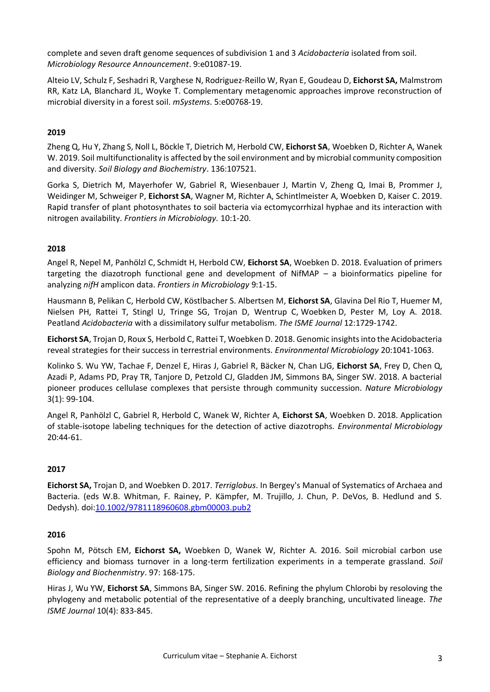complete and seven draft genome sequences of subdivision 1 and 3 *Acidobacteria* isolated from soil. *Microbiology Resource Announcement*. 9:e01087-19.

Alteio LV, Schulz F, Seshadri R, Varghese N, Rodriguez-Reillo W, Ryan E, Goudeau D, **Eichorst SA,** Malmstrom RR, Katz LA, Blanchard JL, Woyke T. Complementary metagenomic approaches improve reconstruction of microbial diversity in a forest soil. *mSystems*. 5:e00768-19.

## **2019**

Zheng Q, Hu Y, Zhang S, Noll L, Böckle T, Dietrich M, Herbold CW, **Eichorst SA**, Woebken D, Richter A, Wanek W. 2019. Soil multifunctionality is affected by the soil environment and by microbial community composition and diversity. *Soil Biology and Biochemistry*. 136:107521.

Gorka S, Dietrich M, Mayerhofer W, Gabriel R, Wiesenbauer J, Martin V, Zheng Q, Imai B, Prommer J, Weidinger M, Schweiger P, **Eichorst SA**, Wagner M, Richter A, Schintlmeister A, Woebken D, Kaiser C. 2019. Rapid transfer of plant photosynthates to soil bacteria via ectomycorrhizal hyphae and its interaction with nitrogen availability. *Frontiers in Microbiology.* 10:1-20.

#### **2018**

Angel R, Nepel M, Panhölzl C, Schmidt H, Herbold CW, **Eichorst SA**, Woebken D. 2018. Evaluation of primers targeting the diazotroph functional gene and development of NifMAP – a bioinformatics pipeline for analyzing *nifH* amplicon data. *Frontiers in Microbiology* 9:1-15.

Hausmann B, Pelikan C, Herbold CW, Köstlbacher S. Albertsen M, **Eichorst SA**, Glavina Del Rio T, Huemer M, Nielsen PH, Rattei T, Stingl U, Tringe SG, Trojan D, Wentrup C, Woebken D, Pester M, Loy A. 2018. Peatland *Acidobacteria* with a dissimilatory sulfur metabolism. *The ISME Journal* 12:1729-1742.

**Eichorst SA**, Trojan D, Roux S, Herbold C, Rattei T, Woebken D. 2018. Genomic insights into the Acidobacteria reveal strategies for their success in terrestrial environments. *Environmental Microbiology* 20:1041-1063.

Kolinko S. Wu YW, Tachae F, Denzel E, Hiras J, Gabriel R, Bäcker N, Chan LJG, **Eichorst SA**, Frey D, Chen Q, Azadi P, Adams PD, Pray TR, Tanjore D, Petzold CJ, Gladden JM, Simmons BA, Singer SW. 2018. A bacterial pioneer produces cellulase complexes that persiste through community succession. *Nature Microbiology* 3(1): 99-104.

Angel R, Panhölzl C, Gabriel R, Herbold C, Wanek W, Richter A, **Eichorst SA**, Woebken D. 2018. Application of stable-isotope labeling techniques for the detection of active diazotrophs. *Environmental Microbiology* 20:44-61.

# **2017**

**Eichorst SA,** Trojan D, and Woebken D. 2017. *Terriglobus*. In Bergey's Manual of Systematics of Archaea and Bacteria. (eds W.B. Whitman, F. Rainey, P. Kämpfer, M. Trujillo, J. Chun, P. DeVos, B. Hedlund and S. Dedysh). doi[:10.1002/9781118960608.gbm00003.pub2](https://doi-org.uaccess.univie.ac.at/10.1002/9781118960608.gbm00003.pub2)

#### **2016**

Spohn M, Pötsch EM, **Eichorst SA,** Woebken D, Wanek W, Richter A. 2016. Soil microbial carbon use efficiency and biomass turnover in a long-term fertilization experiments in a temperate grassland. *Soil Biology and Biochenmistry*. 97: 168-175.

Hiras J, Wu YW, **Eichorst SA**, Simmons BA, Singer SW. 2016. Refining the phylum Chlorobi by resoloving the phylogeny and metabolic potential of the representative of a deeply branching, uncultivated lineage. *The ISME Journal* 10(4): 833-845.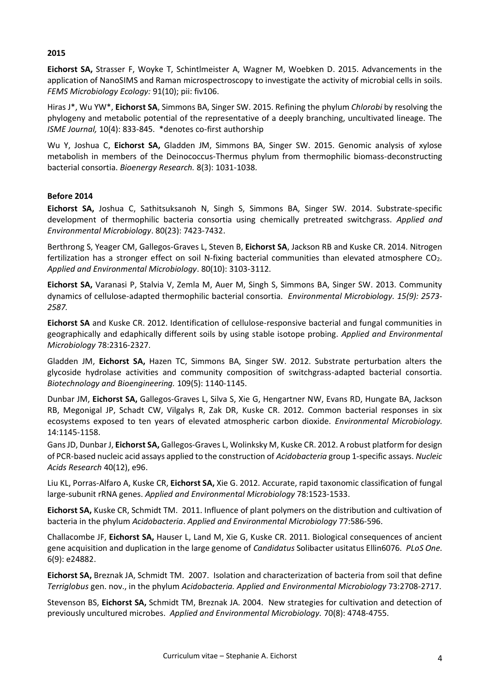#### **2015**

**Eichorst SA,** Strasser F, Woyke T, Schintlmeister A, Wagner M, Woebken D. 2015. Advancements in the application of NanoSIMS and Raman microspectroscopy to investigate the activity of microbial cells in soils. *FEMS Microbiology Ecology:* 91(10); pii: fiv106.

Hiras J\*, Wu YW\*, **Eichorst SA**, Simmons BA, Singer SW. 2015. Refining the phylum *Chlorobi* by resolving the phylogeny and metabolic potential of the representative of a deeply branching, uncultivated lineage. The *ISME Journal,* 10(4): 833-845. \*denotes co-first authorship

Wu Y, Joshua C, **Eichorst SA,** Gladden JM, Simmons BA, Singer SW. 2015. Genomic analysis of xylose metabolish in members of the Deinococcus-Thermus phylum from thermophilic biomass-deconstructing bacterial consortia. *Bioenergy Research.* 8(3): 1031-1038.

## **Before 2014**

**Eichorst SA,** Joshua C, Sathitsuksanoh N, Singh S, Simmons BA, Singer SW. 2014. Substrate-specific development of thermophilic bacteria consortia using chemically pretreated switchgrass. *Applied and Environmental Microbiology*. 80(23): 7423-7432.

Berthrong S, Yeager CM, Gallegos-Graves L, Steven B, **Eichorst SA**, Jackson RB and Kuske CR. 2014. Nitrogen fertilization has a stronger effect on soil N-fixing bacterial communities than elevated atmosphere  $CO<sub>2</sub>$ . *Applied and Environmental Microbiology*. 80(10): 3103-3112.

**Eichorst SA,** Varanasi P, Stalvia V, Zemla M, Auer M, Singh S, Simmons BA, Singer SW. 2013. Community dynamics of cellulose-adapted thermophilic bacterial consortia. *Environmental Microbiology. 15(9): 2573- 2587.*

**Eichorst SA** and Kuske CR. 2012. Identification of cellulose-responsive bacterial and fungal communities in geographically and edaphically different soils by using stable isotope probing. *Applied and Environmental Microbiology* 78:2316-2327.

Gladden JM, **Eichorst SA,** Hazen TC, Simmons BA, Singer SW. 2012. Substrate perturbation alters the glycoside hydrolase activities and community composition of switchgrass-adapted bacterial consortia. *Biotechnology and Bioengineering.* 109(5): 1140-1145.

Dunbar JM, **Eichorst SA,** Gallegos-Graves L, Silva S, Xie G, Hengartner NW, Evans RD, Hungate BA, Jackson RB, Megonigal JP, Schadt CW, Vilgalys R, Zak DR, Kuske CR. 2012. Common bacterial responses in six ecosystems exposed to ten years of elevated atmospheric carbon dioxide. *Environmental Microbiology.* 14:1145-1158.

Gans JD, Dunbar J, **Eichorst SA,** Gallegos-Graves L, Wolinksky M, Kuske CR. 2012. A robust platform for design of PCR-based nucleic acid assays applied to the construction of *Acidobacteria* group 1-specific assays. *Nucleic Acids Research* 40(12), e96.

Liu KL, Porras-Alfaro A, Kuske CR, **Eichorst SA,** Xie G. 2012. Accurate, rapid taxonomic classification of fungal large-subunit rRNA genes. *Applied and Environmental Microbiology* 78:1523-1533.

**Eichorst SA,** Kuske CR, Schmidt TM. 2011. Influence of plant polymers on the distribution and cultivation of bacteria in the phylum *Acidobacteria*. *Applied and Environmental Microbiology* 77:586-596.

Challacombe JF, **Eichorst SA,** Hauser L, Land M, Xie G, Kuske CR. 2011. Biological consequences of ancient gene acquisition and duplication in the large genome of *Candidatus* Solibacter usitatus Ellin6076. *PLoS One.* 6(9): e24882.

**Eichorst SA,** Breznak JA, Schmidt TM. 2007. Isolation and characterization of bacteria from soil that define *Terriglobus* gen. nov., in the phylum *Acidobacteria. Applied and Environmental Microbiology* 73:2708-2717.

Stevenson BS, **Eichorst SA,** Schmidt TM, Breznak JA. 2004. New strategies for cultivation and detection of previously uncultured microbes. *Applied and Environmental Microbiology.* 70(8): 4748-4755.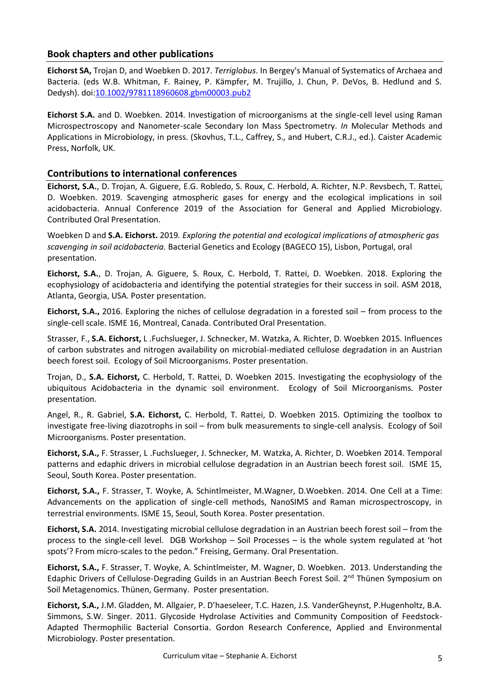# **Book chapters and other publications**

**Eichorst SA,** Trojan D, and Woebken D. 2017. *Terriglobus*. In Bergey's Manual of Systematics of Archaea and Bacteria. (eds W.B. Whitman, F. Rainey, P. Kämpfer, M. Trujillo, J. Chun, P. DeVos, B. Hedlund and S. Dedysh). doi[:10.1002/9781118960608.gbm00003.pub2](https://doi-org.uaccess.univie.ac.at/10.1002/9781118960608.gbm00003.pub2)

**Eichorst S.A.** and D. Woebken. 2014. Investigation of microorganisms at the single-cell level using Raman Microspectroscopy and Nanometer-scale Secondary Ion Mass Spectrometry. *In* Molecular Methods and Applications in Microbiology, in press. (Skovhus, T.L., Caffrey, S., and Hubert, C.R.J., ed.). Caister Academic Press, Norfolk, UK.

# **Contributions to international conferences**

**Eichorst, S.A.**, D. Trojan, A. Giguere, E.G. Robledo, S. Roux, C. Herbold, A. Richter, N.P. Revsbech, T. Rattei, D. Woebken. 2019. Scavenging atmospheric gases for energy and the ecological implications in soil acidobacteria. Annual Conference 2019 of the Association for General and Applied Microbiology. Contributed Oral Presentation.

Woebken D and **S.A. Eichorst.** 2019*. Exploring the potential and ecological implications of atmospheric gas scavenging in soil acidobacteria.* Bacterial Genetics and Ecology (BAGECO 15), Lisbon, Portugal, oral presentation.

**Eichorst, S.A.**, D. Trojan, A. Giguere, S. Roux, C. Herbold, T. Rattei, D. Woebken. 2018. Exploring the ecophysiology of acidobacteria and identifying the potential strategies for their success in soil. ASM 2018, Atlanta, Georgia, USA. Poster presentation.

**Eichorst, S.A.,** 2016. Exploring the niches of cellulose degradation in a forested soil – from process to the single-cell scale. ISME 16, Montreal, Canada. Contributed Oral Presentation.

Strasser, F., **S.A. Eichorst,** L .Fuchslueger, J. Schnecker, M. Watzka, A. Richter, D. Woebken 2015. Influences of carbon substrates and nitrogen availability on microbial-mediated cellulose degradation in an Austrian beech forest soil. Ecology of Soil Microorganisms. Poster presentation.

Trojan, D., **S.A. Eichorst,** C. Herbold, T. Rattei, D. Woebken 2015. Investigating the ecophysiology of the ubiquitous Acidobacteria in the dynamic soil environment. Ecology of Soil Microorganisms. Poster presentation.

Angel, R., R. Gabriel, **S.A. Eichorst,** C. Herbold, T. Rattei, D. Woebken 2015. Optimizing the toolbox to investigate free-living diazotrophs in soil – from bulk measurements to single-cell analysis. Ecology of Soil Microorganisms. Poster presentation.

**Eichorst, S.A.,** F. Strasser, L .Fuchslueger, J. Schnecker, M. Watzka, A. Richter, D. Woebken 2014. Temporal patterns and edaphic drivers in microbial cellulose degradation in an Austrian beech forest soil. ISME 15, Seoul, South Korea. Poster presentation.

**Eichorst, S.A.,** F. Strasser, T. Woyke, A. Schintlmeister, M.Wagner, D.Woebken. 2014. One Cell at a Time: Advancements on the application of single-cell methods, NanoSIMS and Raman microspectroscopy, in terrestrial environments. ISME 15, Seoul, South Korea. Poster presentation.

**Eichorst, S.A.** 2014. Investigating microbial cellulose degradation in an Austrian beech forest soil – from the process to the single-cell level. DGB Workshop – Soil Processes – is the whole system regulated at 'hot spots'? From micro-scales to the pedon." Freising, Germany. Oral Presentation.

**Eichorst, S.A.,** F. Strasser, T. Woyke, A. Schintlmeister, M. Wagner, D. Woebken. 2013. Understanding the Edaphic Drivers of Cellulose-Degrading Guilds in an Austrian Beech Forest Soil. 2<sup>nd</sup> Thünen Symposium on Soil Metagenomics. Thünen, Germany. Poster presentation.

**Eichorst, S.A.,** J.M. Gladden, M. Allgaier, P. D'haeseleer, T.C. Hazen, J.S. VanderGheynst, P.Hugenholtz, B.A. Simmons, S.W. Singer. 2011. Glycoside Hydrolase Activities and Community Composition of Feedstock-Adapted Thermophilic Bacterial Consortia. Gordon Research Conference, Applied and Environmental Microbiology. Poster presentation.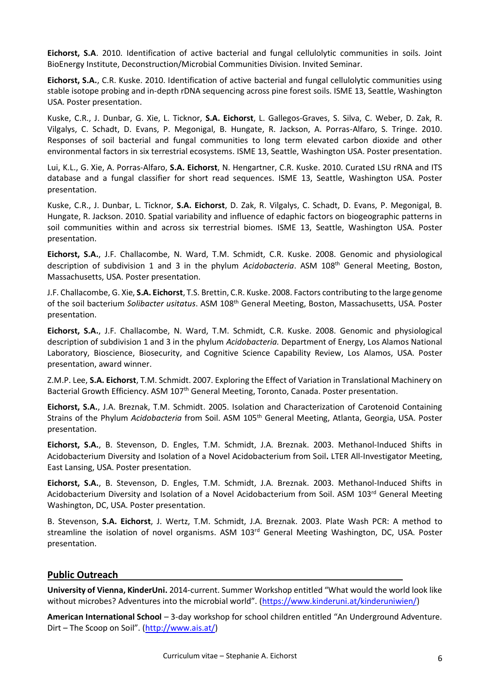**Eichorst, S.A**. 2010. Identification of active bacterial and fungal cellulolytic communities in soils. Joint BioEnergy Institute, Deconstruction/Microbial Communities Division. Invited Seminar.

**Eichorst, S.A.**, C.R. Kuske. 2010. Identification of active bacterial and fungal cellulolytic communities using stable isotope probing and in-depth rDNA sequencing across pine forest soils. ISME 13, Seattle, Washington USA. Poster presentation.

Kuske, C.R., J. Dunbar, G. Xie, L. Ticknor, **S.A. Eichorst**, L. Gallegos-Graves, S. Silva, C. Weber, D. Zak, R. Vilgalys, C. Schadt, D. Evans, P. Megonigal, B. Hungate, R. Jackson, A. Porras-Alfaro, S. Tringe. 2010. Responses of soil bacterial and fungal communities to long term elevated carbon dioxide and other environmental factors in six terrestrial ecosystems. ISME 13, Seattle, Washington USA. Poster presentation.

Lui, K.L., G. Xie, A. Porras-Alfaro, **S.A. Eichorst**, N. Hengartner, C.R. Kuske. 2010. Curated LSU rRNA and ITS database and a fungal classifier for short read sequences. ISME 13, Seattle, Washington USA. Poster presentation.

Kuske, C.R., J. Dunbar, L. Ticknor, **S.A. Eichorst**, D. Zak, R. Vilgalys, C. Schadt, D. Evans, P. Megonigal, B. Hungate, R. Jackson. 2010. Spatial variability and influence of edaphic factors on biogeographic patterns in soil communities within and across six terrestrial biomes. ISME 13, Seattle, Washington USA. Poster presentation.

**Eichorst, S.A.**, J.F. Challacombe, N. Ward, T.M. Schmidt, C.R. Kuske. 2008. Genomic and physiological description of subdivision 1 and 3 in the phylum *Acidobacteria*. ASM 108th General Meeting, Boston, Massachusetts, USA. Poster presentation.

J.F. Challacombe, G. Xie, **S.A. Eichorst**, T.S. Brettin, C.R. Kuske. 2008. Factors contributing to the large genome of the soil bacterium *Solibacter usitatus*. ASM 108th General Meeting, Boston, Massachusetts, USA. Poster presentation.

**Eichorst, S.A.**, J.F. Challacombe, N. Ward, T.M. Schmidt, C.R. Kuske. 2008. Genomic and physiological description of subdivision 1 and 3 in the phylum *Acidobacteria.* Department of Energy, Los Alamos National Laboratory, Bioscience, Biosecurity, and Cognitive Science Capability Review, Los Alamos, USA. Poster presentation, award winner.

Z.M.P. Lee, **S.A. Eichorst**, T.M. Schmidt. 2007. Exploring the Effect of Variation in Translational Machinery on Bacterial Growth Efficiency. ASM 107<sup>th</sup> General Meeting, Toronto, Canada. Poster presentation.

**Eichorst, S.A.**, J.A. Breznak, T.M. Schmidt. 2005. Isolation and Characterization of Carotenoid Containing Strains of the Phylum *Acidobacteria* from Soil. ASM 105th General Meeting, Atlanta, Georgia, USA. Poster presentation.

**Eichorst, S.A.**, B. Stevenson, D. Engles, T.M. Schmidt, J.A. Breznak. 2003. Methanol-Induced Shifts in Acidobacterium Diversity and Isolation of a Novel Acidobacterium from Soil**.** LTER All-Investigator Meeting, East Lansing, USA. Poster presentation.

**Eichorst, S.A.**, B. Stevenson, D. Engles, T.M. Schmidt, J.A. Breznak. 2003. Methanol-Induced Shifts in Acidobacterium Diversity and Isolation of a Novel Acidobacterium from Soil. ASM 103<sup>rd</sup> General Meeting Washington, DC, USA. Poster presentation.

B. Stevenson, **S.A. Eichorst**, J. Wertz, T.M. Schmidt, J.A. Breznak. 2003. Plate Wash PCR: A method to streamline the isolation of novel organisms. ASM 103<sup>rd</sup> General Meeting Washington, DC, USA. Poster presentation.

# **Public Outreach**

**University of Vienna, KinderUni.** 2014-current. Summer Workshop entitled "What would the world look like without microbes? Adventures into the microbial world". ([https://www.kinderuni.at/kinderuniwien/\)](https://www.kinderuni.at/kinderuniwien/)

**American International School** – 3-day workshop for school children entitled "An Underground Adventure. Dirt – The Scoop on Soil". ([http://www.ais.at/\)](http://www.ais.at/)